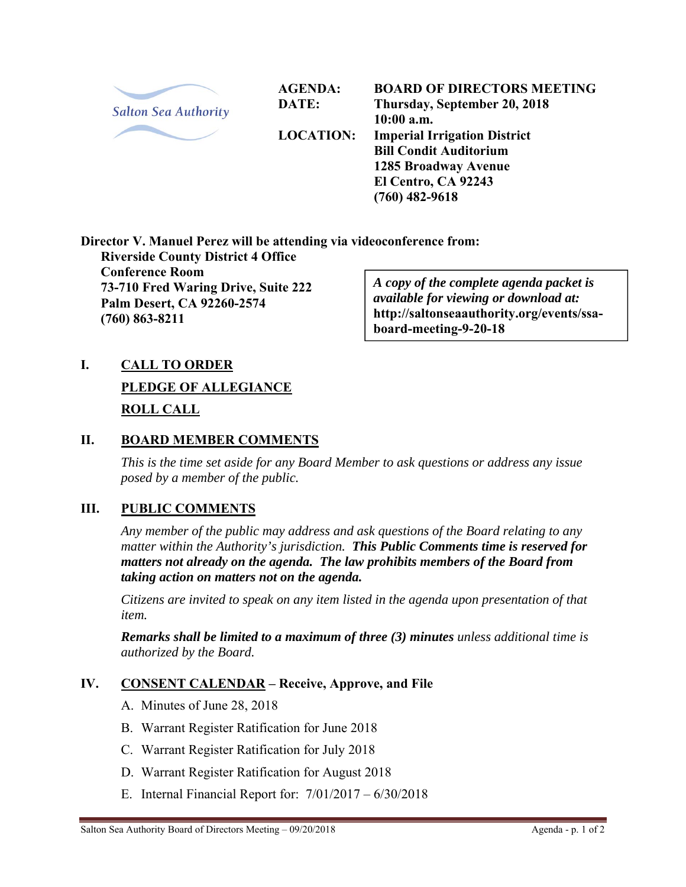

**AGENDA: DATE:** 

**LOCATION:** 

**BOARD OF DIRECTORS MEETING Thursday, September 20, 2018 10:00 a.m. Imperial Irrigation District Bill Condit Auditorium 1285 Broadway Avenue El Centro, CA 92243 (760) 482-9618** 

**Director V. Manuel Perez will be attending via videoconference from:** 

**Riverside County District 4 Office Conference Room 73-710 Fred Waring Drive, Suite 222 Palm Desert, CA 92260-2574 (760) 863-8211** 

*A copy of the complete agenda packet is available for viewing or download at:*  **http://saltonseaauthority.org/events/ssaboard-meeting-9-20-18**

# **I. CALL TO ORDER PLEDGE OF ALLEGIANCE ROLL CALL**

#### **II. BOARD MEMBER COMMENTS**

*This is the time set aside for any Board Member to ask questions or address any issue posed by a member of the public.* 

## **III. PUBLIC COMMENTS**

*Any member of the public may address and ask questions of the Board relating to any matter within the Authority's jurisdiction. This Public Comments time is reserved for matters not already on the agenda. The law prohibits members of the Board from taking action on matters not on the agenda.* 

*Citizens are invited to speak on any item listed in the agenda upon presentation of that item.* 

*Remarks shall be limited to a maximum of three (3) minutes unless additional time is authorized by the Board.*

## **IV. CONSENT CALENDAR – Receive, Approve, and File**

- A. Minutes of June 28, 2018
- B. Warrant Register Ratification for June 2018
- C. Warrant Register Ratification for July 2018
- D. Warrant Register Ratification for August 2018
- E. Internal Financial Report for: 7/01/2017 6/30/2018